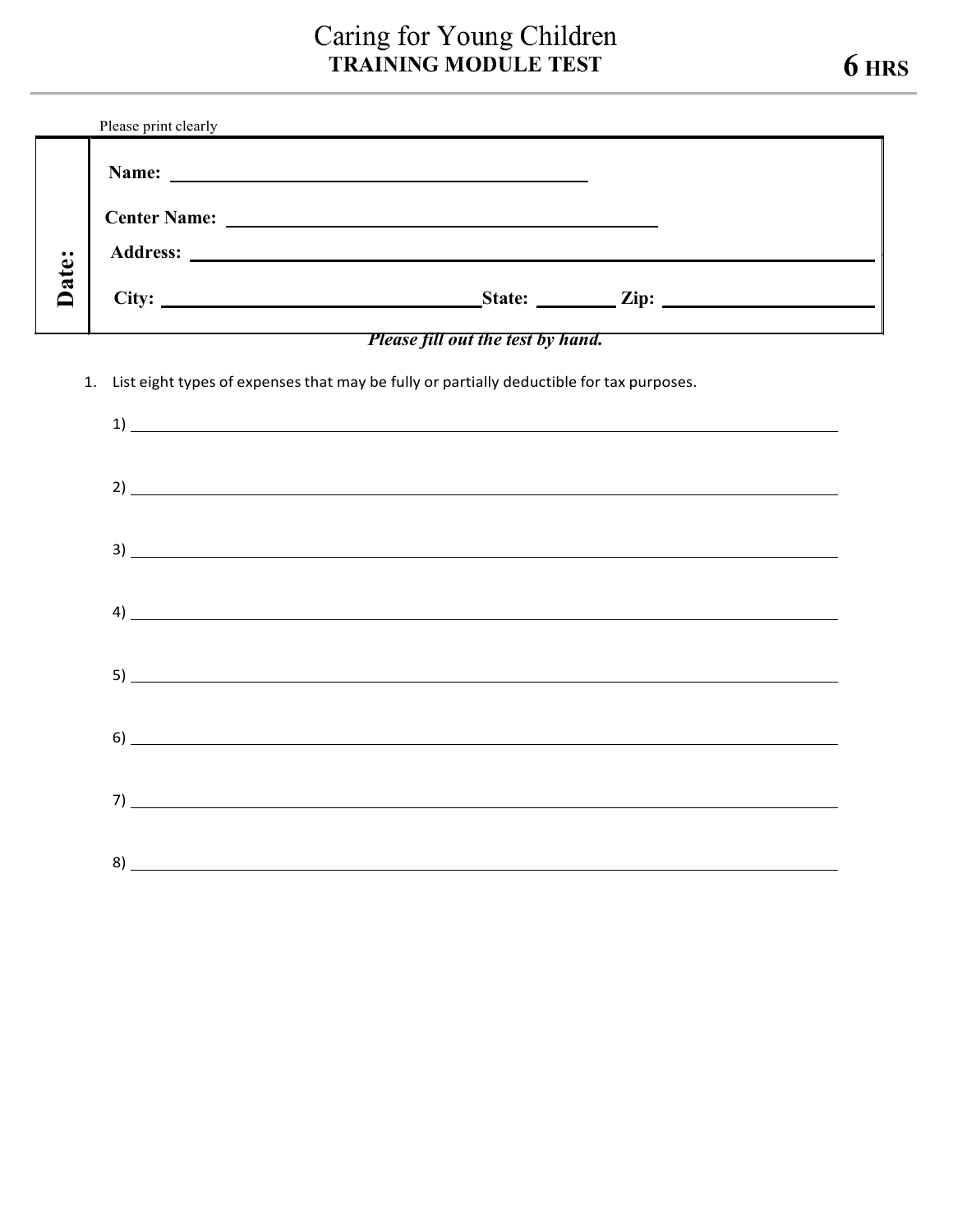## Caring for Young Children **TRAINING MODULE TEST 6 HRS**

|       | Please print clearly                                                                                                                                                                                                        |
|-------|-----------------------------------------------------------------------------------------------------------------------------------------------------------------------------------------------------------------------------|
|       | Name:<br><u> 1989 - John Stein, amerikansk politiker (</u>                                                                                                                                                                  |
|       | <b>Center Name:</b><br><u> 1989 - John Alexandri, martin amerikan bizi da a</u><br><b>Address:</b><br><u> 1980 - Jan Samuel Barbara, martin de la propincia de la propincia de la propincia de la propincia de la propi</u> |
| Date: | State: <u>Zip:</u><br>City:                                                                                                                                                                                                 |

## *Please fill out the test by hand.*

1. List eight types of expenses that may be fully or partially deductible for tax purposes.

| $\overline{1}$ $\overline{1}$ $\overline{1}$ $\overline{1}$ $\overline{1}$ $\overline{1}$ $\overline{1}$ $\overline{1}$ $\overline{1}$ $\overline{1}$ $\overline{1}$ $\overline{1}$ $\overline{1}$ $\overline{1}$ $\overline{1}$ $\overline{1}$ $\overline{1}$ $\overline{1}$ $\overline{1}$ $\overline{1}$ $\overline{1}$ $\overline{1}$ $\overline{1}$ $\overline{1}$ $\overline{$ |  |  |
|--------------------------------------------------------------------------------------------------------------------------------------------------------------------------------------------------------------------------------------------------------------------------------------------------------------------------------------------------------------------------------------|--|--|
|                                                                                                                                                                                                                                                                                                                                                                                      |  |  |
|                                                                                                                                                                                                                                                                                                                                                                                      |  |  |
|                                                                                                                                                                                                                                                                                                                                                                                      |  |  |
|                                                                                                                                                                                                                                                                                                                                                                                      |  |  |
|                                                                                                                                                                                                                                                                                                                                                                                      |  |  |
|                                                                                                                                                                                                                                                                                                                                                                                      |  |  |
| $\left( \begin{array}{ccc} 4 \end{array} \right)$                                                                                                                                                                                                                                                                                                                                    |  |  |
|                                                                                                                                                                                                                                                                                                                                                                                      |  |  |
|                                                                                                                                                                                                                                                                                                                                                                                      |  |  |
|                                                                                                                                                                                                                                                                                                                                                                                      |  |  |
| $\begin{picture}(20,10) \put(0,0){\vector(1,0){100}} \put(15,0){\vector(1,0){100}} \put(15,0){\vector(1,0){100}} \put(15,0){\vector(1,0){100}} \put(15,0){\vector(1,0){100}} \put(15,0){\vector(1,0){100}} \put(15,0){\vector(1,0){100}} \put(15,0){\vector(1,0){100}} \put(15,0){\vector(1,0){100}} \put(15,0){\vector(1,0){100}} \put(15,0){\vector(1,0){100}} \$                  |  |  |
|                                                                                                                                                                                                                                                                                                                                                                                      |  |  |
|                                                                                                                                                                                                                                                                                                                                                                                      |  |  |
|                                                                                                                                                                                                                                                                                                                                                                                      |  |  |
|                                                                                                                                                                                                                                                                                                                                                                                      |  |  |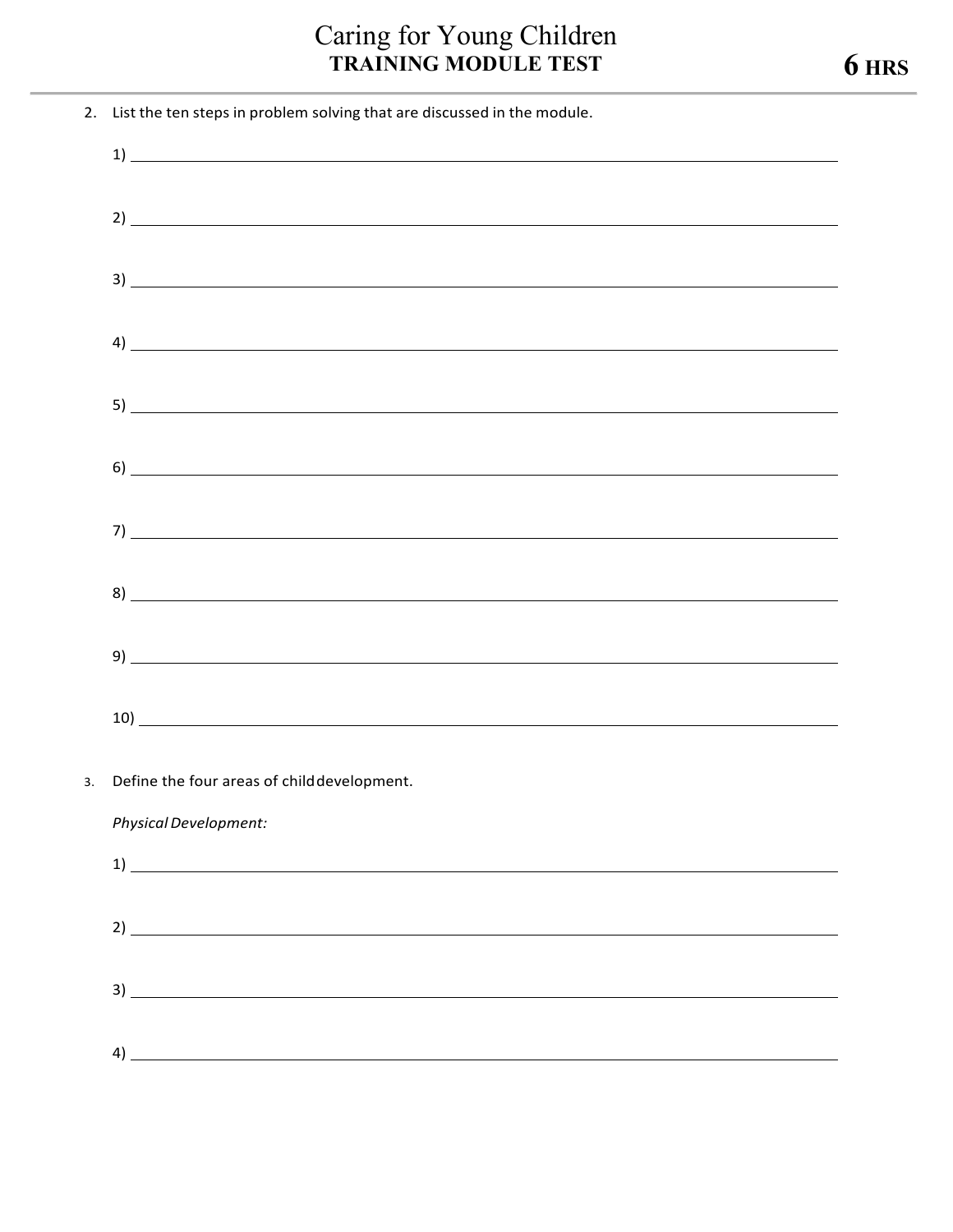## **Caring for Young Children<br>TRAINING MODULE TEST**

| 2. List the ten steps in problem solving that are discussed in the module.                                                                                                                                                                                                                                          |
|---------------------------------------------------------------------------------------------------------------------------------------------------------------------------------------------------------------------------------------------------------------------------------------------------------------------|
|                                                                                                                                                                                                                                                                                                                     |
|                                                                                                                                                                                                                                                                                                                     |
|                                                                                                                                                                                                                                                                                                                     |
| $3)$ $\overline{\phantom{a}}$                                                                                                                                                                                                                                                                                       |
| $\frac{1}{2}$ $\frac{1}{2}$ $\frac{1}{2}$ $\frac{1}{2}$ $\frac{1}{2}$ $\frac{1}{2}$ $\frac{1}{2}$ $\frac{1}{2}$ $\frac{1}{2}$ $\frac{1}{2}$ $\frac{1}{2}$ $\frac{1}{2}$ $\frac{1}{2}$ $\frac{1}{2}$ $\frac{1}{2}$ $\frac{1}{2}$ $\frac{1}{2}$ $\frac{1}{2}$ $\frac{1}{2}$ $\frac{1}{2}$ $\frac{1}{2}$ $\frac{1}{2}$ |
|                                                                                                                                                                                                                                                                                                                     |
| $\sim$ 6) contract to the contract of the contract of the contract of the contract of the contract of the contract of the contract of the contract of the contract of the contract of the contract of the contract of the contr                                                                                     |
| $7)$ $\overline{\phantom{a}}$                                                                                                                                                                                                                                                                                       |
|                                                                                                                                                                                                                                                                                                                     |
|                                                                                                                                                                                                                                                                                                                     |
|                                                                                                                                                                                                                                                                                                                     |
|                                                                                                                                                                                                                                                                                                                     |
| 3. Define the four areas of child development.                                                                                                                                                                                                                                                                      |
| Physical Development:                                                                                                                                                                                                                                                                                               |
|                                                                                                                                                                                                                                                                                                                     |
| $2)$ $\overline{\phantom{a}}$                                                                                                                                                                                                                                                                                       |
| $3)$ $\overline{\phantom{a}}$                                                                                                                                                                                                                                                                                       |
| 4)                                                                                                                                                                                                                                                                                                                  |